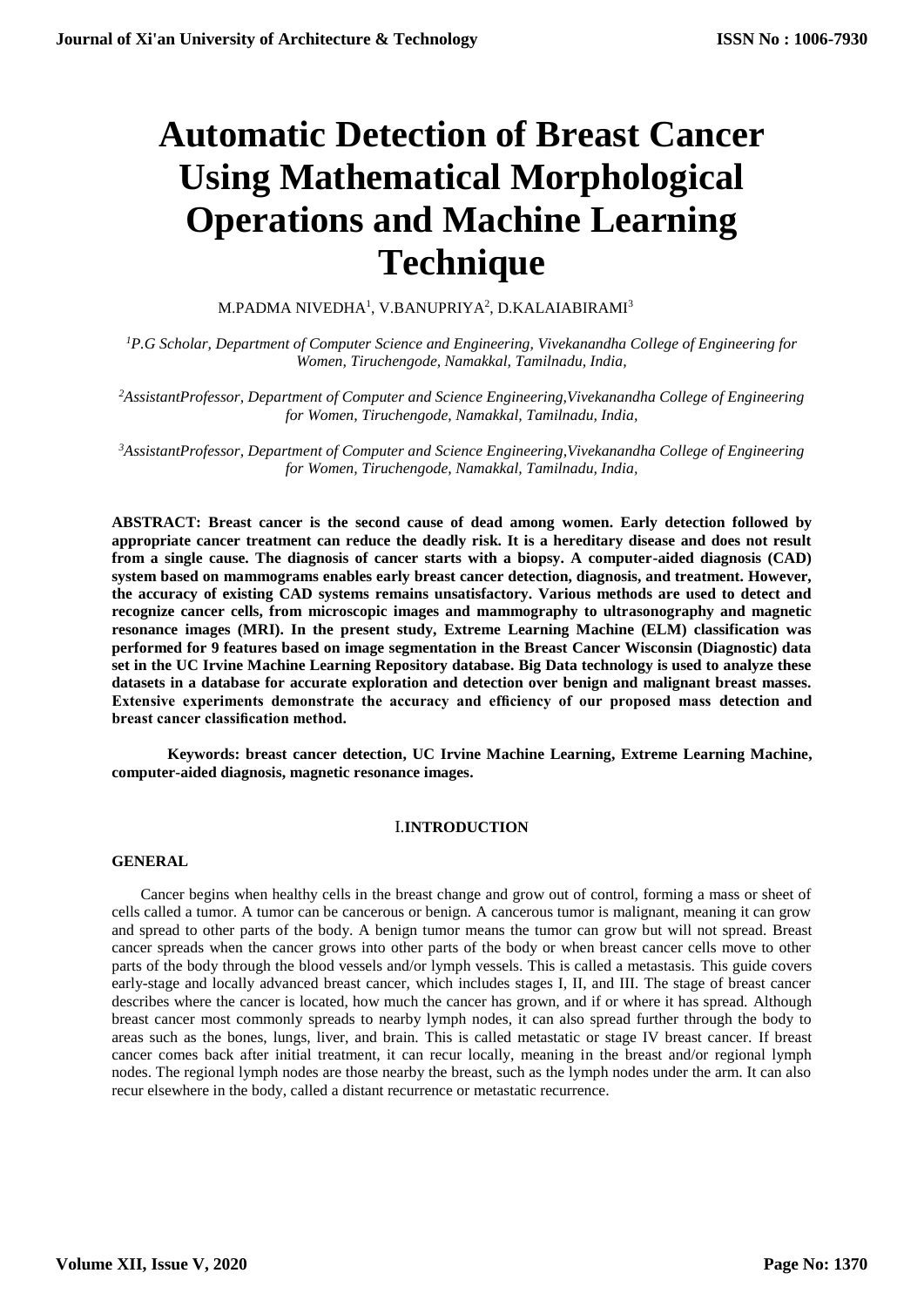# **Automatic Detection of Breast Cancer Using Mathematical Morphological Operations and Machine Learning Technique**

M.PADMA NIVEDHA $^{\rm l}$ , V.BANUPRIYA $^{\rm 2}$ , D.KALAIABIRAMI $^{\rm 3}$ 

*<sup>1</sup>P.G Scholar, Department of Computer Science and Engineering, Vivekanandha College of Engineering for Women, Tiruchengode, Namakkal, Tamilnadu, India,* 

*<sup>2</sup>AssistantProfessor, Department of Computer and Science Engineering,Vivekanandha College of Engineering for Women, Tiruchengode, Namakkal, Tamilnadu, India,* 

*<sup>3</sup>AssistantProfessor, Department of Computer and Science Engineering,Vivekanandha College of Engineering for Women, Tiruchengode, Namakkal, Tamilnadu, India,* 

**ABSTRACT: Breast cancer is the second cause of dead among women. Early detection followed by appropriate cancer treatment can reduce the deadly risk. It is a hereditary disease and does not result from a single cause. The diagnosis of cancer starts with a biopsy. A computer-aided diagnosis (CAD) system based on mammograms enables early breast cancer detection, diagnosis, and treatment. However, the accuracy of existing CAD systems remains unsatisfactory. Various methods are used to detect and recognize cancer cells, from microscopic images and mammography to ultrasonography and magnetic resonance images (MRI). In the present study, Extreme Learning Machine (ELM) classification was performed for 9 features based on image segmentation in the Breast Cancer Wisconsin (Diagnostic) data set in the UC Irvine Machine Learning Repository database. Big Data technology is used to analyze these datasets in a database for accurate exploration and detection over benign and malignant breast masses. Extensive experiments demonstrate the accuracy and efficiency of our proposed mass detection and breast cancer classification method.**

**Keywords: breast cancer detection, UC Irvine Machine Learning, Extreme Learning Machine, computer-aided diagnosis, magnetic resonance images.**

## I.**INTRODUCTION**

#### **GENERAL**

Cancer begins when healthy cells in the breast change and grow out of control, forming a mass or sheet of cells called a tumor. A tumor can be cancerous or benign. A cancerous tumor is malignant, meaning it can grow and spread to other parts of the body. A benign tumor means the tumor can grow but will not spread. Breast cancer spreads when the cancer grows into other parts of the body or when breast cancer cells move to other parts of the body through the blood vessels and/or lymph vessels. This is called a metastasis. This guide covers early-stage and locally advanced breast cancer, which includes stages I, II, and III. The stage of breast cancer describes where the cancer is located, how much the cancer has grown, and if or where it has spread. Although breast cancer most commonly spreads to nearby lymph nodes, it can also spread further through the body to areas such as the bones, lungs, liver, and brain. This is called metastatic or stage IV breast cancer. If breast cancer comes back after initial treatment, it can recur locally, meaning in the breast and/or regional lymph nodes. The regional lymph nodes are those nearby the breast, such as the lymph nodes under the arm. It can also recur elsewhere in the body, called a distant recurrence or metastatic recurrence.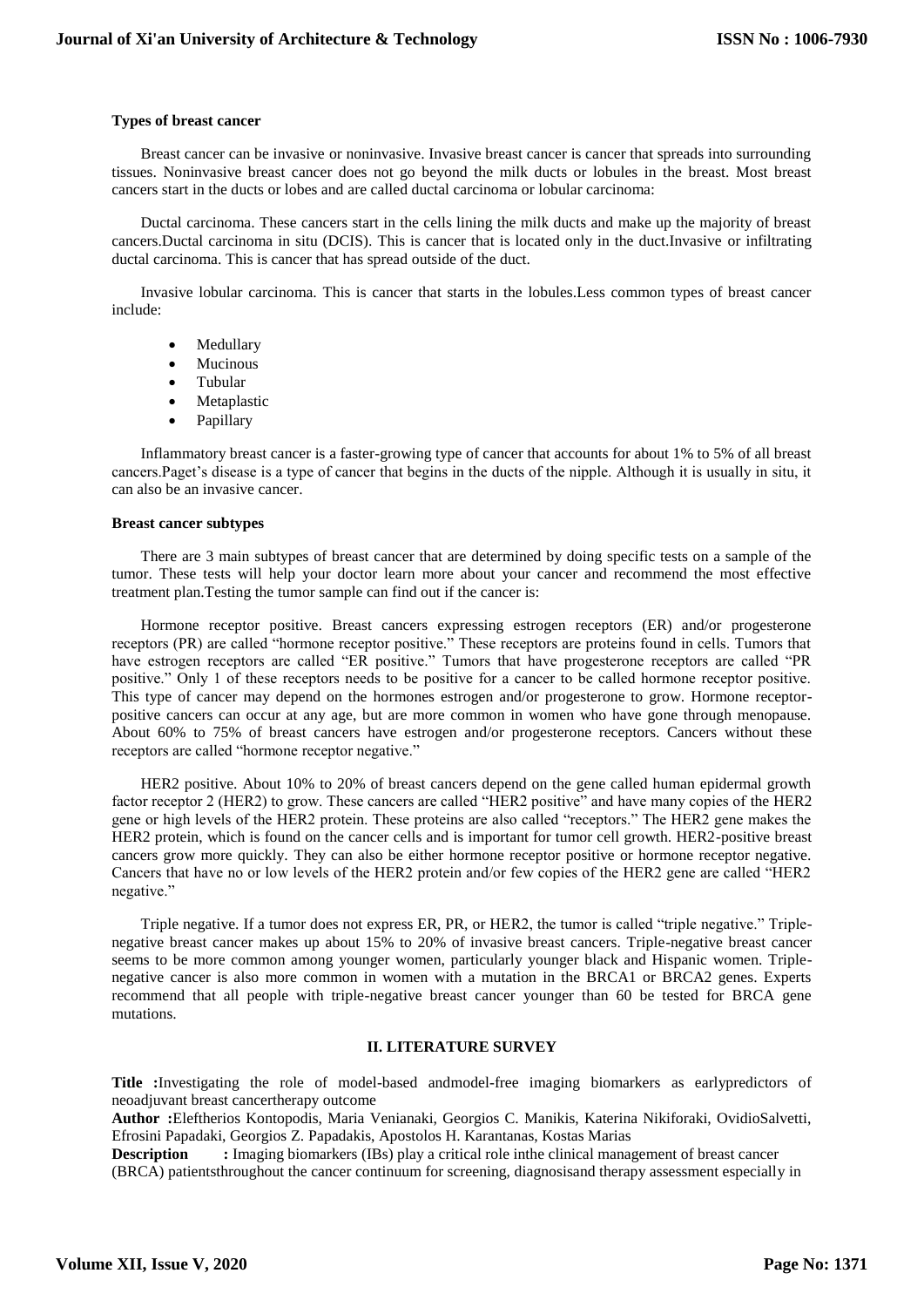## **Types of breast cancer**

Breast cancer can be invasive or noninvasive. Invasive breast cancer is cancer that spreads into surrounding tissues. Noninvasive breast cancer does not go beyond the milk ducts or lobules in the breast. Most breast cancers start in the ducts or lobes and are called ductal carcinoma or lobular carcinoma:

Ductal carcinoma. These cancers start in the cells lining the milk ducts and make up the majority of breast cancers.Ductal carcinoma in situ (DCIS). This is cancer that is located only in the duct.Invasive or infiltrating ductal carcinoma. This is cancer that has spread outside of the duct.

Invasive lobular carcinoma. This is cancer that starts in the lobules.Less common types of breast cancer include:

- Medullary
- Mucinous
- Tubular
- Metaplastic
- Papillary

Inflammatory breast cancer is a faster-growing type of cancer that accounts for about 1% to 5% of all breast cancers.Paget's disease is a type of cancer that begins in the ducts of the nipple. Although it is usually in situ, it can also be an invasive cancer.

#### **Breast cancer subtypes**

There are 3 main subtypes of breast cancer that are determined by doing specific tests on a sample of the tumor. These tests will help your doctor learn more about your cancer and recommend the most effective treatment plan.Testing the tumor sample can find out if the cancer is:

Hormone receptor positive. Breast cancers expressing estrogen receptors (ER) and/or progesterone receptors (PR) are called "hormone receptor positive." These receptors are proteins found in cells. Tumors that have estrogen receptors are called "ER positive." Tumors that have progesterone receptors are called "PR positive." Only 1 of these receptors needs to be positive for a cancer to be called hormone receptor positive. This type of cancer may depend on the hormones estrogen and/or progesterone to grow. Hormone receptorpositive cancers can occur at any age, but are more common in women who have gone through menopause. About 60% to 75% of breast cancers have estrogen and/or progesterone receptors. Cancers without these receptors are called "hormone receptor negative."

HER2 positive. About 10% to 20% of breast cancers depend on the gene called human epidermal growth factor receptor 2 (HER2) to grow. These cancers are called "HER2 positive" and have many copies of the HER2 gene or high levels of the HER2 protein. These proteins are also called "receptors." The HER2 gene makes the HER2 protein, which is found on the cancer cells and is important for tumor cell growth. HER2-positive breast cancers grow more quickly. They can also be either hormone receptor positive or hormone receptor negative. Cancers that have no or low levels of the HER2 protein and/or few copies of the HER2 gene are called "HER2 negative."

Triple negative. If a tumor does not express ER, PR, or HER2, the tumor is called "triple negative." Triplenegative breast cancer makes up about 15% to 20% of invasive breast cancers. Triple-negative breast cancer seems to be more common among younger women, particularly younger black and Hispanic women. Triplenegative cancer is also more common in women with a mutation in the BRCA1 or BRCA2 genes. Experts recommend that all people with triple-negative breast cancer younger than 60 be tested for BRCA gene mutations.

#### **II. LITERATURE SURVEY**

**Title :**Investigating the role of model-based andmodel-free imaging biomarkers as earlypredictors of neoadjuvant breast cancertherapy outcome

**Author :**Eleftherios Kontopodis, Maria Venianaki, Georgios C. Manikis, Katerina Nikiforaki, OvidioSalvetti, Efrosini Papadaki, Georgios Z. Papadakis, Apostolos H. Karantanas, Kostas Marias

**Description** : Imaging biomarkers (IBs) play a critical role inthe clinical management of breast cancer (BRCA) patientsthroughout the cancer continuum for screening, diagnosisand therapy assessment especially in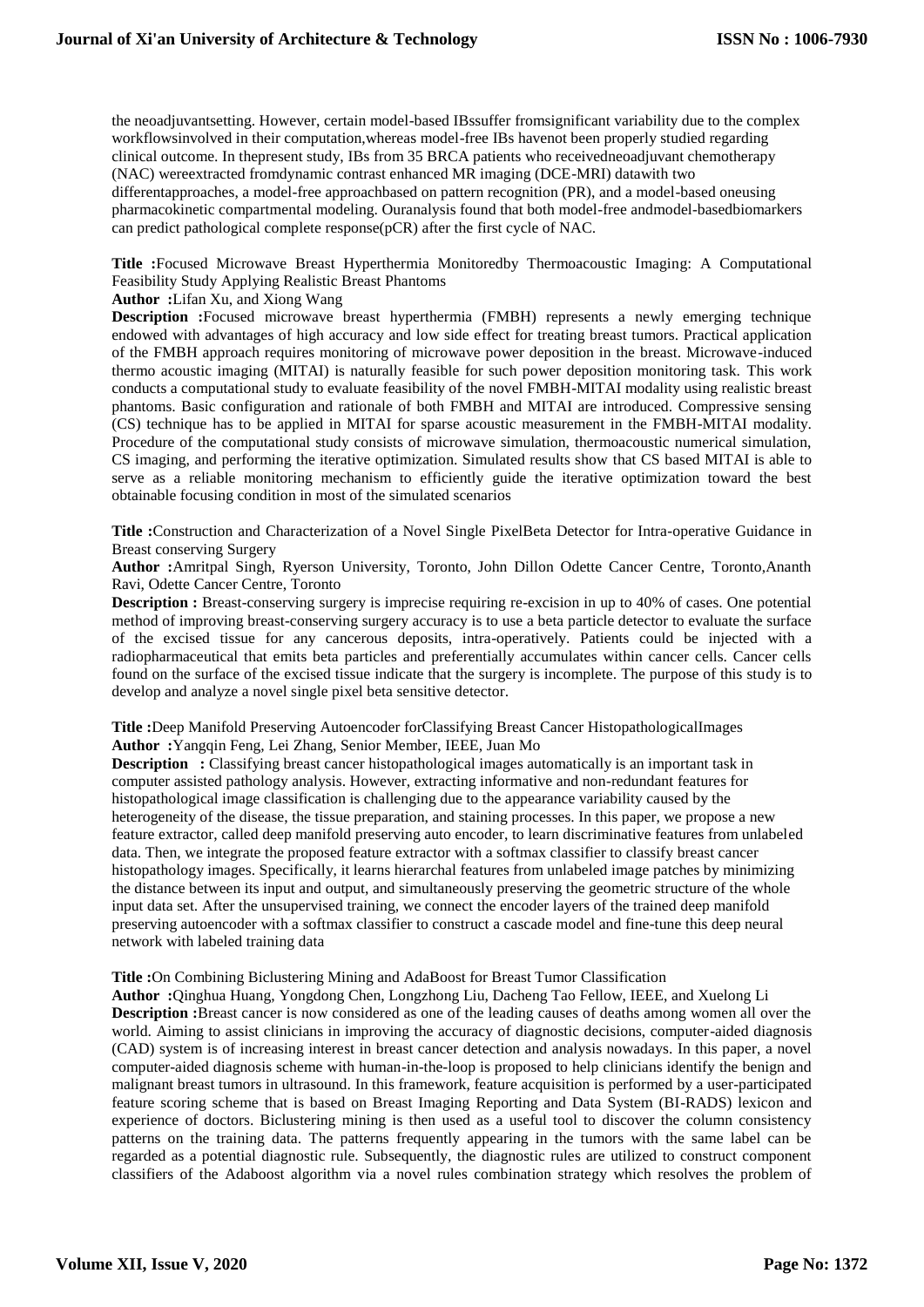the neoadjuvantsetting. However, certain model-based IBssuffer fromsignificant variability due to the complex workflowsinvolved in their computation,whereas model-free IBs havenot been properly studied regarding clinical outcome. In thepresent study, IBs from 35 BRCA patients who receivedneoadjuvant chemotherapy (NAC) wereextracted fromdynamic contrast enhanced MR imaging (DCE-MRI) datawith two differentapproaches, a model-free approachbased on pattern recognition (PR), and a model-based oneusing pharmacokinetic compartmental modeling. Ouranalysis found that both model-free andmodel-basedbiomarkers can predict pathological complete response(pCR) after the first cycle of NAC.

# **Title :**Focused Microwave Breast Hyperthermia Monitoredby Thermoacoustic Imaging: A Computational Feasibility Study Applying Realistic Breast Phantoms

**Author :**Lifan Xu, and Xiong Wang

**Description :**Focused microwave breast hyperthermia (FMBH) represents a newly emerging technique endowed with advantages of high accuracy and low side effect for treating breast tumors. Practical application of the FMBH approach requires monitoring of microwave power deposition in the breast. Microwave-induced thermo acoustic imaging (MITAI) is naturally feasible for such power deposition monitoring task. This work conducts a computational study to evaluate feasibility of the novel FMBH-MITAI modality using realistic breast phantoms. Basic configuration and rationale of both FMBH and MITAI are introduced. Compressive sensing (CS) technique has to be applied in MITAI for sparse acoustic measurement in the FMBH-MITAI modality. Procedure of the computational study consists of microwave simulation, thermoacoustic numerical simulation, CS imaging, and performing the iterative optimization. Simulated results show that CS based MITAI is able to serve as a reliable monitoring mechanism to efficiently guide the iterative optimization toward the best obtainable focusing condition in most of the simulated scenarios

**Title :**Construction and Characterization of a Novel Single PixelBeta Detector for Intra-operative Guidance in Breast conserving Surgery

**Author :**Amritpal Singh, Ryerson University, Toronto, John Dillon Odette Cancer Centre, Toronto,Ananth Ravi, Odette Cancer Centre, Toronto

**Description :** Breast-conserving surgery is imprecise requiring re-excision in up to 40% of cases. One potential method of improving breast-conserving surgery accuracy is to use a beta particle detector to evaluate the surface of the excised tissue for any cancerous deposits, intra-operatively. Patients could be injected with a radiopharmaceutical that emits beta particles and preferentially accumulates within cancer cells. Cancer cells found on the surface of the excised tissue indicate that the surgery is incomplete. The purpose of this study is to develop and analyze a novel single pixel beta sensitive detector.

**Title :**Deep Manifold Preserving Autoencoder forClassifying Breast Cancer HistopathologicalImages **Author :**Yangqin Feng, Lei Zhang, Senior Member, IEEE, Juan Mo

**Description** : Classifying breast cancer histopathological images automatically is an important task in computer assisted pathology analysis. However, extracting informative and non-redundant features for histopathological image classification is challenging due to the appearance variability caused by the heterogeneity of the disease, the tissue preparation, and staining processes. In this paper, we propose a new feature extractor, called deep manifold preserving auto encoder, to learn discriminative features from unlabeled data. Then, we integrate the proposed feature extractor with a softmax classifier to classify breast cancer histopathology images. Specifically, it learns hierarchal features from unlabeled image patches by minimizing the distance between its input and output, and simultaneously preserving the geometric structure of the whole input data set. After the unsupervised training, we connect the encoder layers of the trained deep manifold preserving autoencoder with a softmax classifier to construct a cascade model and fine-tune this deep neural network with labeled training data

## **Title :**On Combining Biclustering Mining and AdaBoost for Breast Tumor Classification

**Author :**Qinghua Huang, Yongdong Chen, Longzhong Liu, Dacheng Tao Fellow, IEEE, and Xuelong Li **Description :**Breast cancer is now considered as one of the leading causes of deaths among women all over the world. Aiming to assist clinicians in improving the accuracy of diagnostic decisions, computer-aided diagnosis (CAD) system is of increasing interest in breast cancer detection and analysis nowadays. In this paper, a novel computer-aided diagnosis scheme with human-in-the-loop is proposed to help clinicians identify the benign and malignant breast tumors in ultrasound. In this framework, feature acquisition is performed by a user-participated feature scoring scheme that is based on Breast Imaging Reporting and Data System (BI-RADS) lexicon and experience of doctors. Biclustering mining is then used as a useful tool to discover the column consistency patterns on the training data. The patterns frequently appearing in the tumors with the same label can be regarded as a potential diagnostic rule. Subsequently, the diagnostic rules are utilized to construct component classifiers of the Adaboost algorithm via a novel rules combination strategy which resolves the problem of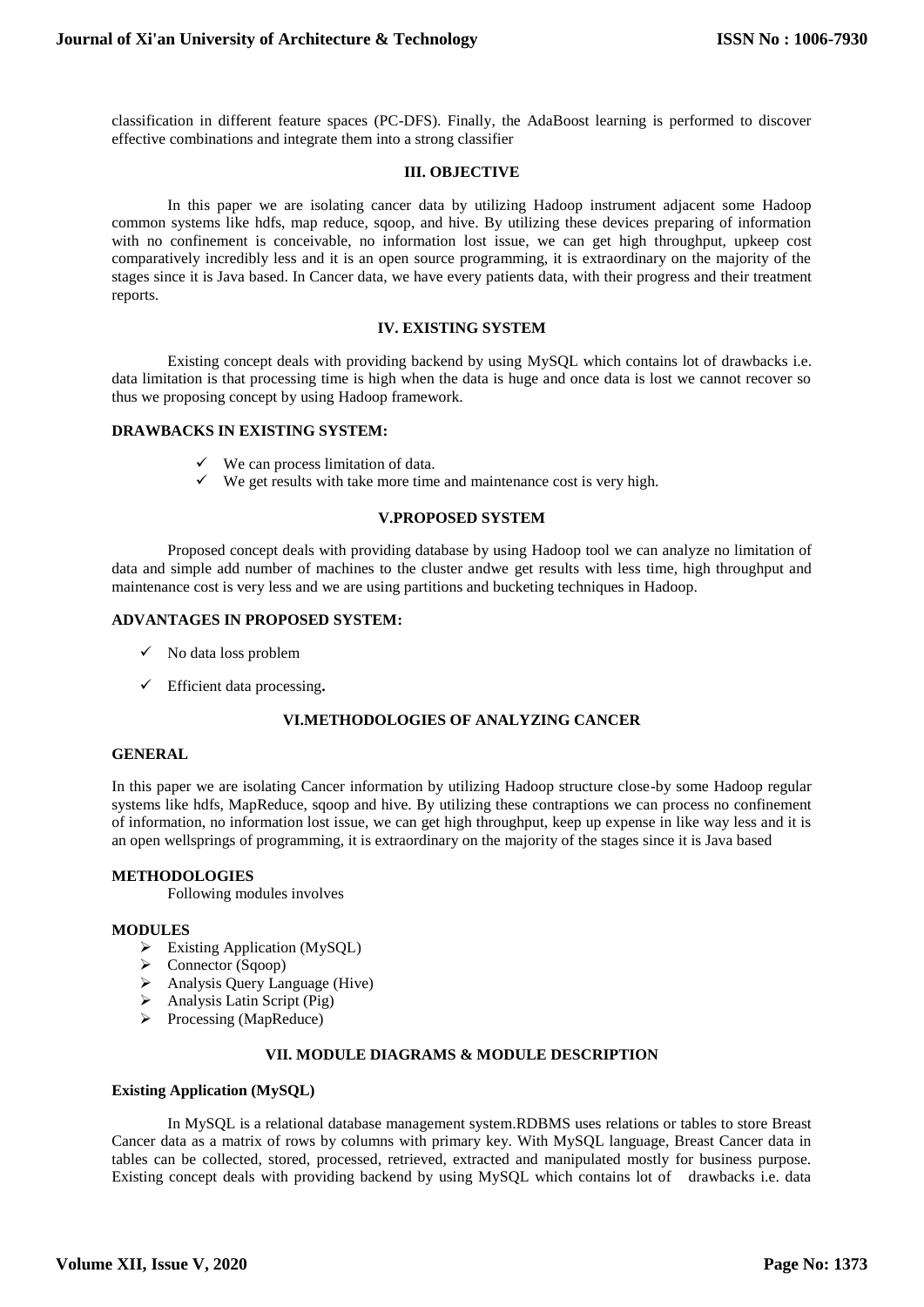classification in different feature spaces (PC-DFS). Finally, the AdaBoost learning is performed to discover effective combinations and integrate them into a strong classifier

## **III. OBJECTIVE**

In this paper we are isolating cancer data by utilizing Hadoop instrument adjacent some Hadoop common systems like hdfs, map reduce, sqoop, and hive. By utilizing these devices preparing of information with no confinement is conceivable, no information lost issue, we can get high throughput, upkeep cost comparatively incredibly less and it is an open source programming, it is extraordinary on the majority of the stages since it is Java based. In Cancer data, we have every patients data, with their progress and their treatment reports.

## **IV. EXISTING SYSTEM**

Existing concept deals with providing backend by using MySQL which contains lot of drawbacks i.e. data limitation is that processing time is high when the data is huge and once data is lost we cannot recover so thus we proposing concept by using Hadoop framework.

## **DRAWBACKS IN EXISTING SYSTEM:**

- $\checkmark$  We can process limitation of data.
- $\checkmark$  We get results with take more time and maintenance cost is very high.

## **V.PROPOSED SYSTEM**

Proposed concept deals with providing database by using Hadoop tool we can analyze no limitation of data and simple add number of machines to the cluster andwe get results with less time, high throughput and maintenance cost is very less and we are using partitions and bucketing techniques in Hadoop.

## **ADVANTAGES IN PROPOSED SYSTEM:**

- $\checkmark$  No data loss problem
- Efficient data processing**.**

# **VI.METHODOLOGIES OF ANALYZING CANCER**

# **GENERAL**

In this paper we are isolating Cancer information by utilizing Hadoop structure close-by some Hadoop regular systems like hdfs, MapReduce, sqoop and hive. By utilizing these contraptions we can process no confinement of information, no information lost issue, we can get high throughput, keep up expense in like way less and it is an open wellsprings of programming, it is extraordinary on the majority of the stages since it is Java based

## **METHODOLOGIES**

Following modules involves

#### **MODULES**

- $\triangleright$  Existing Application (MySQL)
- ▶ Connector (Sqoop)
- Analysis Query Language (Hive)
- Analysis Latin Script (Pig)
- $\triangleright$  Processing (MapReduce)

## **VII. MODULE DIAGRAMS & MODULE DESCRIPTION**

#### **Existing Application (MySQL)**

In MySQL is a relational database management system.RDBMS uses relations or tables to store Breast Cancer data as a matrix of rows by columns with primary key. With MySQL language, Breast Cancer data in tables can be collected, stored, processed, retrieved, extracted and manipulated mostly for business purpose. Existing concept deals with providing backend by using MySQL which contains lot of drawbacks i.e. data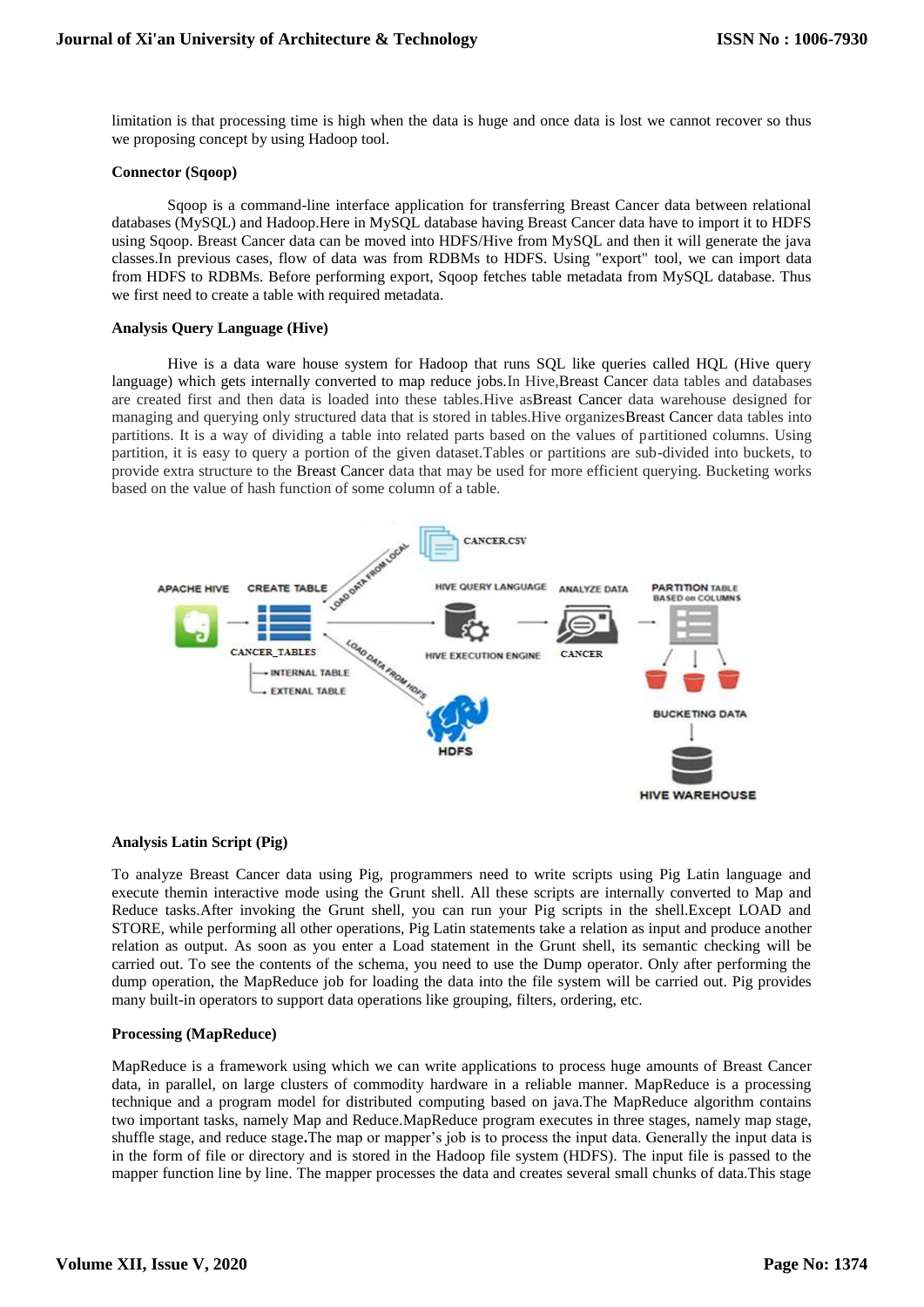limitation is that processing time is high when the data is huge and once data is lost we cannot recover so thus we proposing concept by using Hadoop tool.

## **Connector (Sqoop)**

Sqoop is a command-line interface application for transferring Breast Cancer data between relational databases (MySQL) and Hadoop.Here in MySQL database having Breast Cancer data have to import it to HDFS using Sqoop. Breast Cancer data can be moved into HDFS/Hive from MySQL and then it will generate the java classes.In previous cases, flow of data was from RDBMs to HDFS. Using "export" tool, we can import data from HDFS to RDBMs. Before performing export, Sqoop fetches table metadata from MySQL database. Thus we first need to create a table with required metadata.

## **Analysis Query Language (Hive)**

Hive is a data ware house system for Hadoop that runs SQL like queries called HQL (Hive query language) which gets internally converted to map reduce jobs.In Hive,Breast Cancer data tables and databases are created first and then data is loaded into these tables.Hive asBreast Cancer data warehouse designed for managing and querying only structured data that is stored in tables.Hive organizesBreast Cancer data tables into partitions. It is a way of dividing a table into related parts based on the values of partitioned columns. Using partition, it is easy to query a portion of the given dataset.Tables or partitions are sub-divided into buckets, to provide extra structure to the Breast Cancer data that may be used for more efficient querying. Bucketing works based on the value of hash function of some column of a table.



#### **Analysis Latin Script (Pig)**

To analyze Breast Cancer data using Pig, programmers need to write scripts using Pig Latin language and execute themin interactive mode using the Grunt shell. All these scripts are internally converted to Map and Reduce tasks.After invoking the Grunt shell, you can run your Pig scripts in the shell.Except LOAD and STORE, while performing all other operations, Pig Latin statements take a relation as input and produce another relation as output. As soon as you enter a Load statement in the Grunt shell, its semantic checking will be carried out. To see the contents of the schema, you need to use the Dump operator. Only after performing the dump operation, the MapReduce job for loading the data into the file system will be carried out. Pig provides many built-in operators to support data operations like grouping, filters, ordering, etc.

# **Processing (MapReduce)**

MapReduce is a framework using which we can write applications to process huge amounts of Breast Cancer data, in parallel, on large clusters of commodity hardware in a reliable manner. MapReduce is a processing technique and a program model for distributed computing based on java.The MapReduce algorithm contains two important tasks, namely Map and Reduce.MapReduce program executes in three stages, namely map stage, shuffle stage, and reduce stage**.**The map or mapper's job is to process the input data. Generally the input data is in the form of file or directory and is stored in the Hadoop file system (HDFS). The input file is passed to the mapper function line by line. The mapper processes the data and creates several small chunks of data.This stage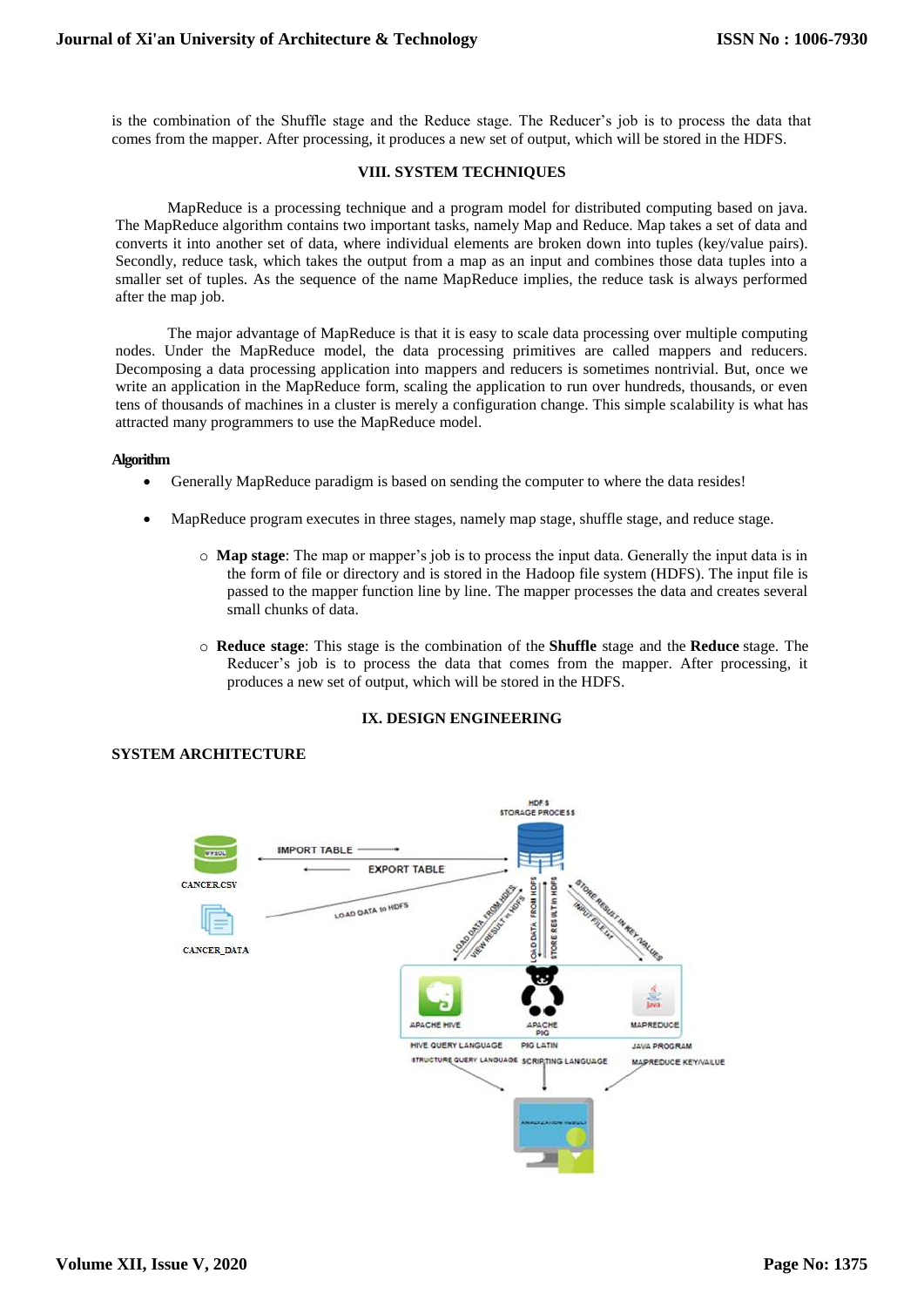is the combination of the Shuffle stage and the Reduce stage. The Reducer's job is to process the data that comes from the mapper. After processing, it produces a new set of output, which will be stored in the HDFS.

## **VIII. SYSTEM TECHNIQUES**

MapReduce is a processing technique and a program model for distributed computing based on java. The MapReduce algorithm contains two important tasks, namely Map and Reduce. Map takes a set of data and converts it into another set of data, where individual elements are broken down into tuples (key/value pairs). Secondly, reduce task, which takes the output from a map as an input and combines those data tuples into a smaller set of tuples. As the sequence of the name MapReduce implies, the reduce task is always performed after the map job.

The major advantage of MapReduce is that it is easy to scale data processing over multiple computing nodes. Under the MapReduce model, the data processing primitives are called mappers and reducers. Decomposing a data processing application into mappers and reducers is sometimes nontrivial. But, once we write an application in the MapReduce form, scaling the application to run over hundreds, thousands, or even tens of thousands of machines in a cluster is merely a configuration change. This simple scalability is what has attracted many programmers to use the MapReduce model.

#### **Algorithm**

- Generally MapReduce paradigm is based on sending the computer to where the data resides!
- MapReduce program executes in three stages, namely map stage, shuffle stage, and reduce stage.
	- o **Map stage**: The map or mapper's job is to process the input data. Generally the input data is in the form of file or directory and is stored in the Hadoop file system (HDFS). The input file is passed to the mapper function line by line. The mapper processes the data and creates several small chunks of data.
	- o **Reduce stage**: This stage is the combination of the **Shuffle** stage and the **Reduce** stage. The Reducer's job is to process the data that comes from the mapper. After processing, it produces a new set of output, which will be stored in the HDFS.

# **IX. DESIGN ENGINEERING**



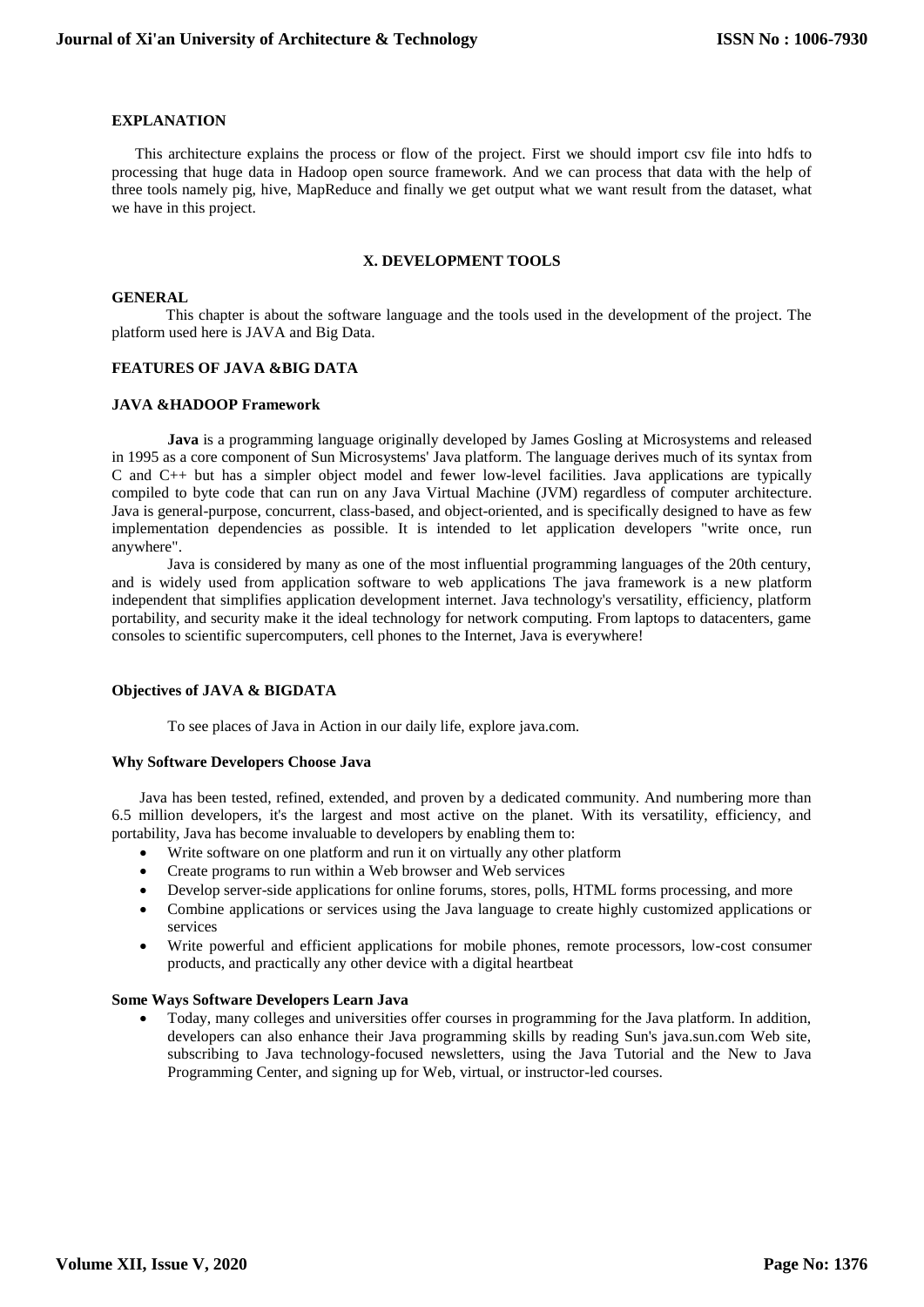## **EXPLANATION**

 This architecture explains the process or flow of the project. First we should import csv file into hdfs to processing that huge data in Hadoop open source framework. And we can process that data with the help of three tools namely pig, hive, MapReduce and finally we get output what we want result from the dataset, what we have in this project.

## **X. DEVELOPMENT TOOLS**

## **GENERAL**

 This chapter is about the software language and the tools used in the development of the project. The platform used here is JAVA and Big Data.

#### **FEATURES OF JAVA &BIG DATA**

#### **JAVA &HADOOP Framework**

**Java** is a [programming language](http://en.wikipedia.org/wiki/Programming_language) originally developed by [James Gosling](http://en.wikipedia.org/wiki/James_Gosling) at Microsystems and released in 1995 as a core component of Sun Microsystems' [Java platform.](http://en.wikipedia.org/wiki/Java_(software_platform)) The language derives much of its [syntax](http://en.wikipedia.org/wiki/Syntax_(programming_languages)) from [C](http://en.wikipedia.org/wiki/C_(programming_language)) and [C++](http://en.wikipedia.org/wiki/C%2B%2B) but has a simpler [object model](http://en.wikipedia.org/wiki/Object_model) and fewer [low-level](http://en.wikipedia.org/wiki/Low-level_programming_language) facilities. Java applications are typically [compiled](http://en.wikipedia.org/wiki/Compiler) to [byte code](http://en.wikipedia.org/wiki/Java_bytecode) that can run on any [Java Virtual Machine](http://en.wikipedia.org/wiki/Java_Virtual_Machine) (JVM) regardless of [computer architecture.](http://en.wikipedia.org/wiki/Computer_architecture) Java is general-purpose, concurrent, class-based, and object-oriented, and is specifically designed to have as few implementation dependencies as possible. It is intended to let application developers "write once, run anywhere".

Java is considered by many as one of the most influential programming languages of the 20th century, and is widely used from application software to web applications The java framework is a new platform independent that simplifies application development internet. Java technology's versatility, efficiency, platform portability, and security make it the ideal technology for network computing. From laptops to datacenters, game consoles to scientific supercomputers, cell phones to the Internet, Java is everywhere!

#### **Objectives of JAVA & BIGDATA**

To see places of Java in Action in our daily life, explore java.com.

#### **Why Software Developers Choose Java**

Java has been tested, refined, extended, and proven by a dedicated community. And numbering more than 6.5 million developers, it's the largest and most active on the planet. With its versatility, efficiency, and portability, Java has become invaluable to developers by enabling them to:

- Write software on one platform and run it on virtually any other platform
- Create programs to run within a Web browser and Web services
- Develop server-side applications for online forums, stores, polls, HTML forms processing, and more
- Combine applications or services using the Java language to create highly customized applications or services
- Write powerful and efficient applications for mobile phones, remote processors, low-cost consumer products, and practically any other device with a digital heartbeat

#### **Some Ways Software Developers Learn Java**

 Today, many colleges and universities offer courses in programming for the Java platform. In addition, developers can also enhance their Java programming skills by reading Sun's java.sun.com Web site, subscribing to Java technology-focused newsletters, using the Java Tutorial and the New to Java Programming Center, and signing up for Web, virtual, or instructor-led courses.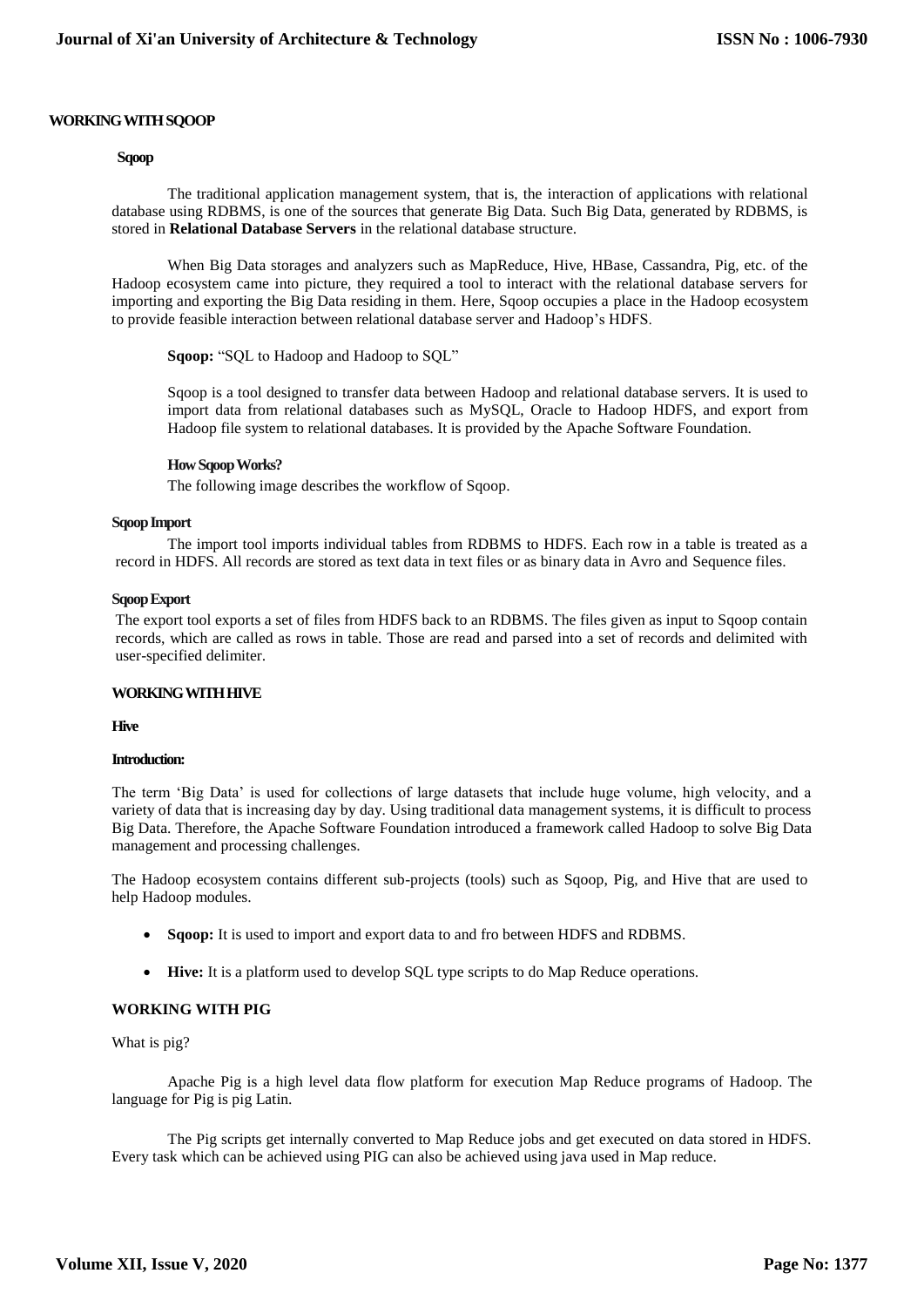#### **WORKING WITH SQOOP**

## **Sqoop**

The traditional application management system, that is, the interaction of applications with relational database using RDBMS, is one of the sources that generate Big Data. Such Big Data, generated by RDBMS, is stored in **Relational Database Servers** in the relational database structure.

When Big Data storages and analyzers such as MapReduce, Hive, HBase, Cassandra, Pig, etc. of the Hadoop ecosystem came into picture, they required a tool to interact with the relational database servers for importing and exporting the Big Data residing in them. Here, Sqoop occupies a place in the Hadoop ecosystem to provide feasible interaction between relational database server and Hadoop's HDFS.

**Sqoop:** "SQL to Hadoop and Hadoop to SQL"

Sqoop is a tool designed to transfer data between Hadoop and relational database servers. It is used to import data from relational databases such as MySQL, Oracle to Hadoop HDFS, and export from Hadoop file system to relational databases. It is provided by the Apache Software Foundation.

#### **How Sqoop Works?**

The following image describes the workflow of Sqoop.

#### **Sqoop Import**

The import tool imports individual tables from RDBMS to HDFS. Each row in a table is treated as a record in HDFS. All records are stored as text data in text files or as binary data in Avro and Sequence files.

#### **Sqoop Export**

The export tool exports a set of files from HDFS back to an RDBMS. The files given as input to Sqoop contain records, which are called as rows in table. Those are read and parsed into a set of records and delimited with user-specified delimiter.

#### **WORKING WITH HIVE**

**Hive**

## **Introduction:**

The term 'Big Data' is used for collections of large datasets that include huge volume, high velocity, and a variety of data that is increasing day by day. Using traditional data management systems, it is difficult to process Big Data. Therefore, the Apache Software Foundation introduced a framework called Hadoop to solve Big Data management and processing challenges.

The Hadoop ecosystem contains different sub-projects (tools) such as Sqoop, Pig, and Hive that are used to help Hadoop modules.

- **Sqoop:** It is used to import and export data to and fro between HDFS and RDBMS.
- **Hive:** It is a platform used to develop SQL type scripts to do Map Reduce operations.

#### **WORKING WITH PIG**

What is pig?

Apache Pig is a high level data flow platform for execution Map Reduce programs of Hadoop. The language for Pig is pig Latin.

The Pig scripts get internally converted to Map Reduce jobs and get executed on data stored in HDFS. Every task which can be achieved using PIG can also be achieved using java used in Map reduce.